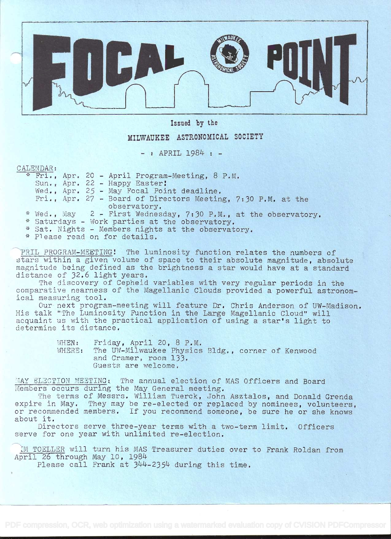

Issied by the

## MILWAUKEE ASTRONOMICAL SOCIETY

- : APRIL 1984 : -

## CALENDAR:

|  |  | * Fri., Apr. 20 - April Program-Meeting, 8 P.M.                                                                                         |
|--|--|-----------------------------------------------------------------------------------------------------------------------------------------|
|  |  | Sun., Apr. 22 - Happy Easter!                                                                                                           |
|  |  | Wed., Apr. 25 - May Focal Point deadline.                                                                                               |
|  |  | Fri., Apr. 27 - Board of Directors Meeting, 7:30 P.M. at the                                                                            |
|  |  | observatory.                                                                                                                            |
|  |  | * Wed., May 2 - First Wednesday, 7:30 P.M., at the observatory.                                                                         |
|  |  | * Saturdays - Work parties at the observatory.                                                                                          |
|  |  | $*$ $\zeta$ <sup>2</sup> $\eta$ <sup>+</sup> $\eta$ <sup>2</sup> $\eta$ <sup>+</sup> $\zeta$ $-$ Mambarg nightg $2^{+}$ the observatory |

rie opservatory.

\* Please read on for details.

PRIL PROGRAM-MEETING! The luminosity function relates the numbers of stars within a given volume of space to their absolute magnitude, absolute magnitude being defined as the brightness a star would have at a standard distance of 32.6 light years.

The discovery of Cepheid variables with very regular periods in the comparative nearness of the Magellanic Clouds provided a powerful astronomical measuring tool.

Our next program-meeting will feature Dr. Chris Anderson of UW-Madison. His talk "The Luminosity Function in the Large Magellanic Cloud" will acquaint us with the practical application of using a star's light to determine its distance.

> WHEN: Friday, April 20, 8 P.M. WHERE: The UW-Milwaukee Physics Bldg., corner of Kenwood and Cramer, room l33. Guests are welcome.

MAY ELECTION MEETING: The annual election of MAS Officers and Board Members occurs during the May General meeting.

The terms of Messrs. William Tuerck, John Asztalos, and Donald Grenda expire in May. They may be re-elected or replaced by nominees, volunteers, or recommended members. If you recommend someone, be sure he or she knows about it.

Directors serve three-year terms with a two-term limit. Officers serve for one year with unlimited re-election.

IM TOELLER will turn his MAS Treasurer duties over to Frank Roldan from April 26 through May 10, 1984

Please call Frank at 344-2354 during this time.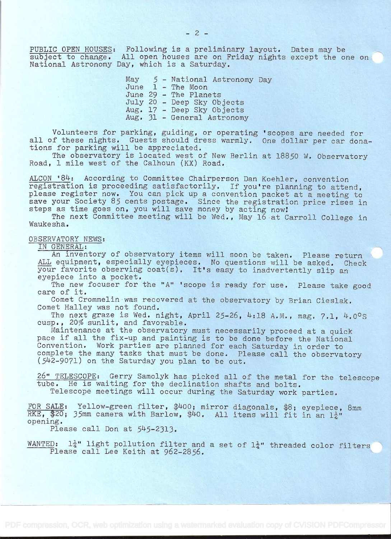PUBLIC OPEN HOUSES: Following is a preliminary layout. Dates may be subject to change. All open houses are on Friday nights except the one on National Astronomy Day, which is a Saturday.

> May 5 - National Astronomy Day June 1 - The Moon June 29 - The Planets July 20 - Deep Sky Objects Aug. 17 - Deep Sky Objects Aug. 31 - General Astronomy

Volunteers for parking, guiding, or operating 'scopes are needed for all of these nights. Guests should dress warmly. One dollar per car donations for parking will be appreciated.

The observatory is located west of New Berlin at 18850 W. Observatory Road, 1 mile west of the Calhoun (KX) Road.

ALCON '84: According to Committee Chairperson Dan Koehler, convention registration is proceeding satisfactorily. If you're planning to attend, please register now. You can pick up a convention packet at a meeting to save your Society 85 cents postage. Since the registration price rises in steps as time goes on, you will save money by acting now!

The next Committee meeting will be Wed., May 16 at Carroll College in Wauke sha.

## OBSERVATORY NEWS:

IN GENERAL:

An inventory of observatory items will soon be taken. Please return ALL equipment, especially eyepieces. No questions will be asked. Check your favorite observing coat(s). It's easy to inadvertently slip an eyepiece into a pocket.

The new focuser for the "A" 'scope is ready for use. Please take good care of it.

Comet Crommelin was recovered at the observatory by Brian Cieslak. Comet Halley was not found.

The next graze is Wed. night, April 25-26, 4:18 A.M., mag.  $7.1.4.0^\circ s$ cusp., 20% sunlit, and favorable.

Maintenance at the observatory must necessarily proceed at a quick pace if all the fix-up and painting îs to be done before the National Convention. Work parties are planned for each Saturday in order to complete the many tasks that must be done. Please call the observatory (5J42-907l) on the Saturday you plan to be out.

26" TELESCOPE: Gerry Samolyk has picked all of the metal for the telescope tube. He is waiting for the declination shafts and bolts. Telescope meetings will occur during the Saturday work parties.

FOR SALE: Yellow-green filter, \$400; mirror diagonals, \$8; eyepiece, 8mm RKE, \$20; 35mm camera with Barlow, \$40. All items will fit in an  $1\frac{1}{4}$ " opening.

Please call Don at  $545-2313$ .

WANTED:  $1\frac{1}{4}$ " light pollution filter and a set of  $1\frac{1}{4}$ " threaded color filters Please call Lee Keith at 962-2856.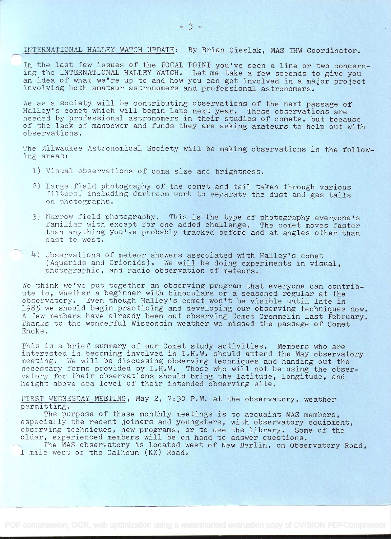INTERNATIONAL HALLEY WATCH UPDATE: By Brian Cieslak, MAS IHW Coordinator.

In the last few issues of the FOCAL POINT you've seen a line or two concerning the INTERNATIONAL HALLEY WATCH. Let me take a few seconds to give you an idea of what we're up to and how you can get involved in a major project involving both amateur astronomers and professional astronomers.

We as a society will be contributing observations of the next passage of Halley's comet which will begin late next year. These observations are needed by professional astronomers in their studies of comets, but because of the lack of manpower and funds they are asking amateurs to help out with observations.

The Milwaukee Astronomical Society will be making observations in the following areas:

- 1) Visual observations of coma size and brightness.
- 2) Large field photography of the comet and tail taken through various filters, including darkroom work to separate the dust and gas tails on photographs.
- 3) Narrow field photography. This is the type of photography everyone's familiar with except for one added challenge. The comet moves faster than anything you've probably tracked before and at angles other than east to west.
- L) Observations of meteor showers associated with Halley's comet (Aquarids and Orionids). We will be doing experiments in visual, photographic, and radio observation of meteors.

We think we've put together an observing program that everyone can contribute to, whether a beginner with binoculars or a seasoned regular at the observatory. Even though Halley's comet won't be visible until late in 1985 we should begin practicing and developing our observing techniques now. A few members have already been out observing Comet Crommelin last February. Thanks to the wonderful Wisconsin weather we missed the passage of Comet Encke.

This is a brief summary of our Comet study activities. Members who are interested in becoming involved in I.H,W. should attend the May observatory meeting. We will be discussing observing techniques and handing out the necessary forms provided by I.H.W. Those who will not be using the observatory for their observations should bring the latitude, longitude, and height above sea level of their intended observing site.

FIRST WEDNESDAY MEETING, May 2, 7:30 P.M. at the observatory, weather permitting.

The purpose of these monthly meetings is to acquaint MAS members, especially the recent joiners and youngsters, with observatory equipment, observing techniques, new programs, or to use the library. Some of the older, experienced members will be on hand to answer questions.

The MAS observatory is located west of New Berlin, on Observatory Road. J\_ mile west of the Calhoun (KX) Road..